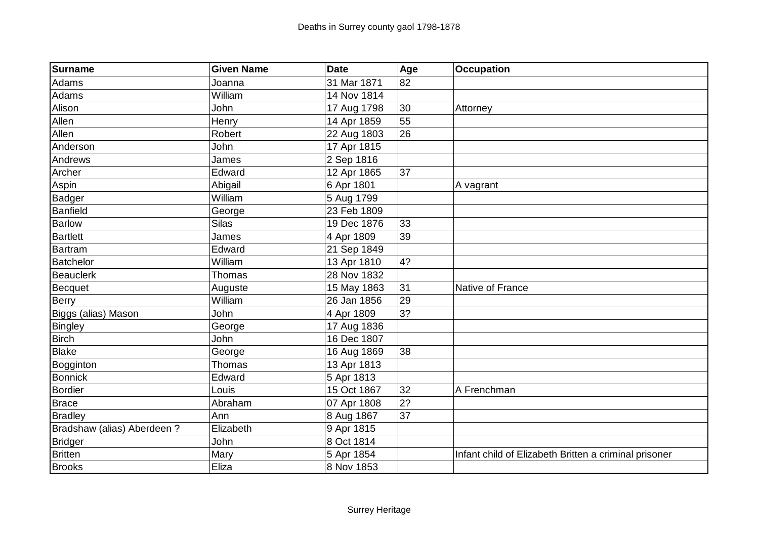| Surname                    | <b>Given Name</b> | <b>Date</b> | Age | <b>Occupation</b>                                     |
|----------------------------|-------------------|-------------|-----|-------------------------------------------------------|
| Adams                      | Joanna            | 31 Mar 1871 | 82  |                                                       |
| Adams                      | William           | 14 Nov 1814 |     |                                                       |
| Alison                     | John              | 17 Aug 1798 | 30  | Attorney                                              |
| Allen                      | Henry             | 14 Apr 1859 | 55  |                                                       |
| Allen                      | Robert            | 22 Aug 1803 | 26  |                                                       |
| Anderson                   | John              | 17 Apr 1815 |     |                                                       |
| Andrews                    | James             | 2 Sep 1816  |     |                                                       |
| Archer                     | Edward            | 12 Apr 1865 | 37  |                                                       |
| Aspin                      | Abigail           | 6 Apr 1801  |     | A vagrant                                             |
| Badger                     | William           | 5 Aug 1799  |     |                                                       |
| Banfield                   | George            | 23 Feb 1809 |     |                                                       |
| <b>Barlow</b>              | <b>Silas</b>      | 19 Dec 1876 | 33  |                                                       |
| <b>Bartlett</b>            | James             | 4 Apr 1809  | 39  |                                                       |
| Bartram                    | Edward            | 21 Sep 1849 |     |                                                       |
| <b>Batchelor</b>           | William           | 13 Apr 1810 | 4?  |                                                       |
| Beauclerk                  | Thomas            | 28 Nov 1832 |     |                                                       |
| Becquet                    | Auguste           | 15 May 1863 | 31  | Native of France                                      |
| <b>Berry</b>               | William           | 26 Jan 1856 | 29  |                                                       |
| Biggs (alias) Mason        | John              | 4 Apr 1809  | 3?  |                                                       |
| <b>Bingley</b>             | George            | 17 Aug 1836 |     |                                                       |
| <b>Birch</b>               | John              | 16 Dec 1807 |     |                                                       |
| Blake                      | George            | 16 Aug 1869 | 38  |                                                       |
| Bogginton                  | <b>Thomas</b>     | 13 Apr 1813 |     |                                                       |
| <b>Bonnick</b>             | Edward            | 5 Apr 1813  |     |                                                       |
| Bordier                    | Louis             | 15 Oct 1867 | 32  | A Frenchman                                           |
| Brace                      | Abraham           | 07 Apr 1808 | 2?  |                                                       |
| <b>Bradley</b>             | Ann               | 8 Aug 1867  | 37  |                                                       |
| Bradshaw (alias) Aberdeen? | Elizabeth         | 9 Apr 1815  |     |                                                       |
| <b>Bridger</b>             | John              | 8 Oct 1814  |     |                                                       |
| <b>Britten</b>             | Mary              | 5 Apr 1854  |     | Infant child of Elizabeth Britten a criminal prisoner |
| <b>Brooks</b>              | Eliza             | 8 Nov 1853  |     |                                                       |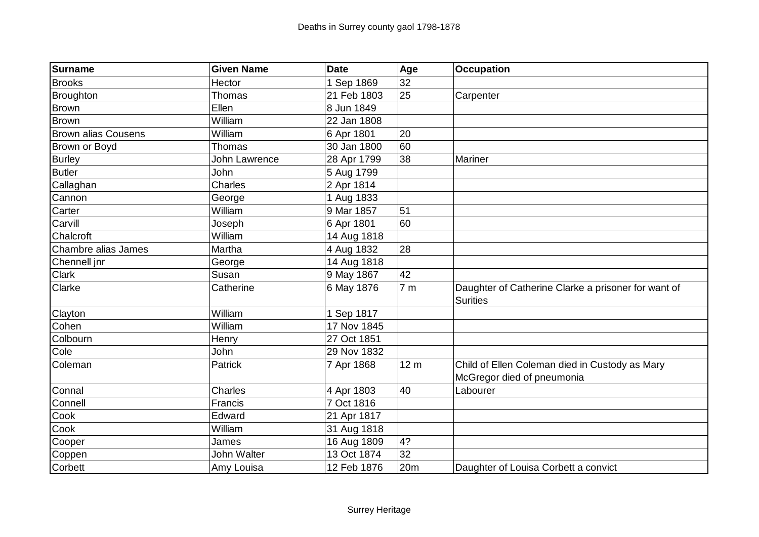| <b>Surname</b>             | <b>Given Name</b> | <b>Date</b> | Age             | <b>Occupation</b>                                                            |
|----------------------------|-------------------|-------------|-----------------|------------------------------------------------------------------------------|
| <b>Brooks</b>              | Hector            | 1 Sep 1869  | 32              |                                                                              |
| <b>Broughton</b>           | Thomas            | 21 Feb 1803 | 25              | Carpenter                                                                    |
| <b>Brown</b>               | Ellen             | 8 Jun 1849  |                 |                                                                              |
| <b>Brown</b>               | William           | 22 Jan 1808 |                 |                                                                              |
| <b>Brown alias Cousens</b> | William           | 6 Apr 1801  | 20              |                                                                              |
| Brown or Boyd              | Thomas            | 30 Jan 1800 | 60              |                                                                              |
| <b>Burley</b>              | John Lawrence     | 28 Apr 1799 | 38              | Mariner                                                                      |
| <b>Butler</b>              | John              | 5 Aug 1799  |                 |                                                                              |
| Callaghan                  | Charles           | 2 Apr 1814  |                 |                                                                              |
| Cannon                     | George            | 1 Aug 1833  |                 |                                                                              |
| Carter                     | William           | 9 Mar 1857  | 51              |                                                                              |
| Carvill                    | Joseph            | 6 Apr 1801  | 60              |                                                                              |
| Chalcroft                  | William           | 14 Aug 1818 |                 |                                                                              |
| Chambre alias James        | Martha            | 4 Aug 1832  | 28              |                                                                              |
| Chennell jnr               | George            | 14 Aug 1818 |                 |                                                                              |
| <b>Clark</b>               | Susan             | 9 May 1867  | 42              |                                                                              |
| Clarke                     | Catherine         | 6 May 1876  | 7 <sub>m</sub>  | Daughter of Catherine Clarke a prisoner for want of<br><b>Surities</b>       |
| Clayton                    | William           | 1 Sep 1817  |                 |                                                                              |
| Cohen                      | William           | 17 Nov 1845 |                 |                                                                              |
| Colbourn                   | Henry             | 27 Oct 1851 |                 |                                                                              |
| Cole                       | John              | 29 Nov 1832 |                 |                                                                              |
| Coleman                    | Patrick           | 7 Apr 1868  | 12 <sub>m</sub> | Child of Ellen Coleman died in Custody as Mary<br>McGregor died of pneumonia |
| Connal                     | Charles           | 4 Apr 1803  | 40              | Labourer                                                                     |
| Connell                    | Francis           | 7 Oct 1816  |                 |                                                                              |
| Cook                       | Edward            | 21 Apr 1817 |                 |                                                                              |
| Cook                       | William           | 31 Aug 1818 |                 |                                                                              |
| Cooper                     | James             | 16 Aug 1809 | 4?              |                                                                              |
| Coppen                     | John Walter       | 13 Oct 1874 | 32              |                                                                              |
| Corbett                    | Amy Louisa        | 12 Feb 1876 | 20m             | Daughter of Louisa Corbett a convict                                         |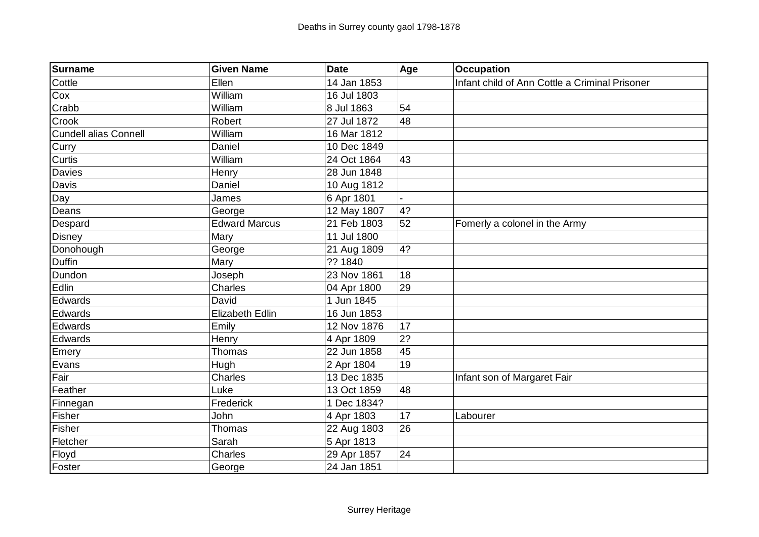| Surname                      | <b>Given Name</b>      | <b>Date</b> | Age | <b>Occupation</b>                              |
|------------------------------|------------------------|-------------|-----|------------------------------------------------|
| Cottle                       | Ellen                  | 14 Jan 1853 |     | Infant child of Ann Cottle a Criminal Prisoner |
| Cox                          | William                | 16 Jul 1803 |     |                                                |
| Crabb                        | William                | 8 Jul 1863  | 54  |                                                |
| Crook                        | Robert                 | 27 Jul 1872 | 48  |                                                |
| <b>Cundell alias Connell</b> | William                | 16 Mar 1812 |     |                                                |
| Curry                        | Daniel                 | 10 Dec 1849 |     |                                                |
| Curtis                       | William                | 24 Oct 1864 | 43  |                                                |
| Davies                       | Henry                  | 28 Jun 1848 |     |                                                |
| Davis                        | Daniel                 | 10 Aug 1812 |     |                                                |
| Day                          | James                  | 6 Apr 1801  |     |                                                |
| Deans                        | George                 | 12 May 1807 | 4?  |                                                |
| Despard                      | <b>Edward Marcus</b>   | 21 Feb 1803 | 52  | Fomerly a colonel in the Army                  |
| <b>Disney</b>                | Mary                   | 11 Jul 1800 |     |                                                |
| Donohough                    | George                 | 21 Aug 1809 | 4?  |                                                |
| <b>Duffin</b>                | Mary                   | ?? 1840     |     |                                                |
| Dundon                       | Joseph                 | 23 Nov 1861 | 18  |                                                |
| Edlin                        | Charles                | 04 Apr 1800 | 29  |                                                |
| Edwards                      | David                  | 1 Jun 1845  |     |                                                |
| Edwards                      | <b>Elizabeth Edlin</b> | 16 Jun 1853 |     |                                                |
| Edwards                      | Emily                  | 12 Nov 1876 | 17  |                                                |
| Edwards                      | Henry                  | 4 Apr 1809  | 2?  |                                                |
| Emery                        | Thomas                 | 22 Jun 1858 | 45  |                                                |
| Evans                        | Hugh                   | 2 Apr 1804  | 19  |                                                |
| Fair                         | Charles                | 13 Dec 1835 |     | Infant son of Margaret Fair                    |
| Feather                      | Luke                   | 13 Oct 1859 | 48  |                                                |
| Finnegan                     | Frederick              | 1 Dec 1834? |     |                                                |
| Fisher                       | John                   | 4 Apr 1803  | 17  | Labourer                                       |
| Fisher                       | Thomas                 | 22 Aug 1803 | 26  |                                                |
| Fletcher                     | Sarah                  | 5 Apr 1813  |     |                                                |
| Floyd                        | Charles                | 29 Apr 1857 | 24  |                                                |
| Foster                       | George                 | 24 Jan 1851 |     |                                                |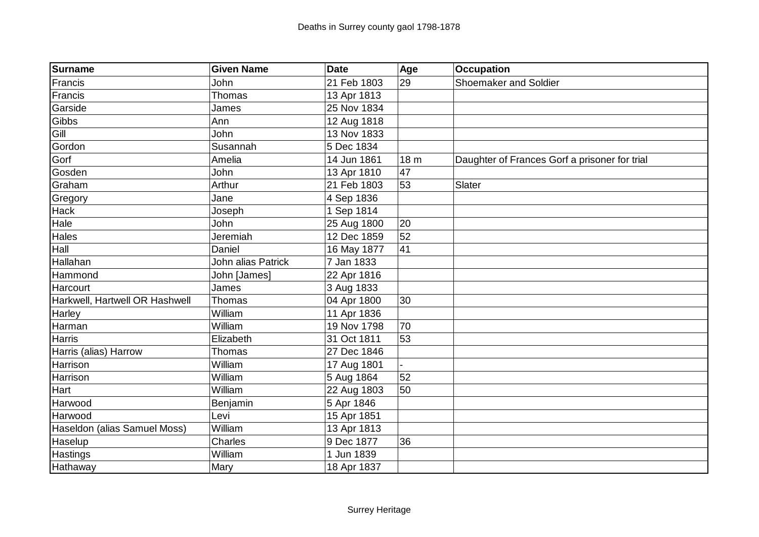| Surname                        | <b>Given Name</b>  | Date        | Age             | <b>Occupation</b>                             |
|--------------------------------|--------------------|-------------|-----------------|-----------------------------------------------|
| Francis                        | John               | 21 Feb 1803 | 29              | <b>Shoemaker and Soldier</b>                  |
| Francis                        | Thomas             | 13 Apr 1813 |                 |                                               |
| Garside                        | James              | 25 Nov 1834 |                 |                                               |
| Gibbs                          | Ann                | 12 Aug 1818 |                 |                                               |
| Gill                           | John               | 13 Nov 1833 |                 |                                               |
| Gordon                         | Susannah           | 5 Dec 1834  |                 |                                               |
| Gorf                           | Amelia             | 14 Jun 1861 | 18 <sub>m</sub> | Daughter of Frances Gorf a prisoner for trial |
| Gosden                         | John               | 13 Apr 1810 | 47              |                                               |
| Graham                         | Arthur             | 21 Feb 1803 | 53              | Slater                                        |
| Gregory                        | Jane               | 4 Sep 1836  |                 |                                               |
| <b>Hack</b>                    | Joseph             | 1 Sep 1814  |                 |                                               |
| Hale                           | John               | 25 Aug 1800 | 20              |                                               |
| <b>Hales</b>                   | Jeremiah           | 12 Dec 1859 | 52              |                                               |
| Hall                           | Daniel             | 16 May 1877 | 41              |                                               |
| Hallahan                       | John alias Patrick | 7 Jan 1833  |                 |                                               |
| Hammond                        | John [James]       | 22 Apr 1816 |                 |                                               |
| Harcourt                       | James              | 3 Aug 1833  |                 |                                               |
| Harkwell, Hartwell OR Hashwell | Thomas             | 04 Apr 1800 | 30              |                                               |
| <b>Harley</b>                  | William            | 11 Apr 1836 |                 |                                               |
| Harman                         | William            | 19 Nov 1798 | 70              |                                               |
| <b>Harris</b>                  | Elizabeth          | 31 Oct 1811 | 53              |                                               |
| Harris (alias) Harrow          | Thomas             | 27 Dec 1846 |                 |                                               |
| Harrison                       | William            | 17 Aug 1801 |                 |                                               |
| Harrison                       | William            | 5 Aug 1864  | 52              |                                               |
| Hart                           | William            | 22 Aug 1803 | 50              |                                               |
| Harwood                        | Benjamin           | 5 Apr 1846  |                 |                                               |
| Harwood                        | Levi               | 15 Apr 1851 |                 |                                               |
| Haseldon (alias Samuel Moss)   | William            | 13 Apr 1813 |                 |                                               |
| Haselup                        | Charles            | 9 Dec 1877  | 36              |                                               |
| <b>Hastings</b>                | William            | 1 Jun 1839  |                 |                                               |
| Hathaway                       | Mary               | 18 Apr 1837 |                 |                                               |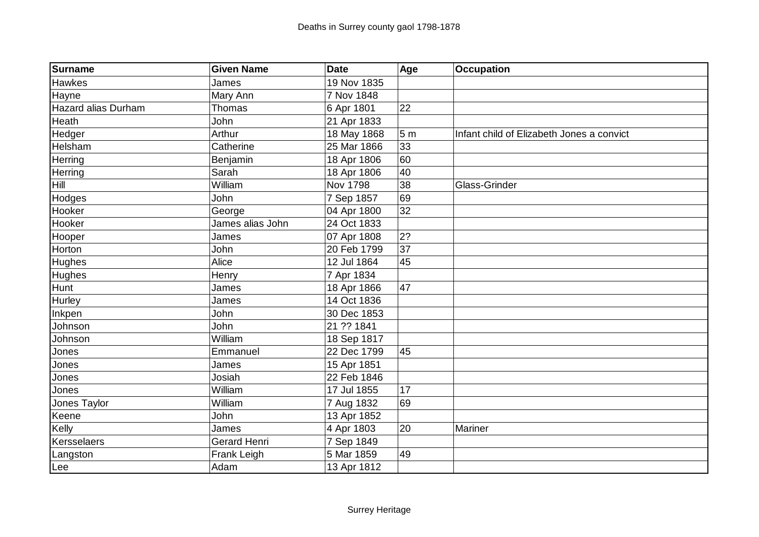| Surname             | <b>Given Name</b>   | <b>Date</b>     | Age            | <b>Occupation</b>                         |
|---------------------|---------------------|-----------------|----------------|-------------------------------------------|
| <b>Hawkes</b>       | James               | 19 Nov 1835     |                |                                           |
| Hayne               | Mary Ann            | 7 Nov 1848      |                |                                           |
| Hazard alias Durham | <b>Thomas</b>       | 6 Apr 1801      | 22             |                                           |
| Heath               | John                | 21 Apr 1833     |                |                                           |
| Hedger              | Arthur              | 18 May 1868     | 5 <sub>m</sub> | Infant child of Elizabeth Jones a convict |
| <b>Helsham</b>      | Catherine           | 25 Mar 1866     | 33             |                                           |
| Herring             | Benjamin            | 18 Apr 1806     | 60             |                                           |
| Herring             | Sarah               | 18 Apr 1806     | 40             |                                           |
| Hill                | William             | <b>Nov 1798</b> | 38             | Glass-Grinder                             |
| Hodges              | John                | 7 Sep 1857      | 69             |                                           |
| Hooker              | George              | 04 Apr 1800     | 32             |                                           |
| Hooker              | James alias John    | 24 Oct 1833     |                |                                           |
| Hooper              | James               | 07 Apr 1808     | 2?             |                                           |
| Horton              | John                | 20 Feb 1799     | 37             |                                           |
| <b>Hughes</b>       | Alice               | 12 Jul 1864     | 45             |                                           |
| Hughes              | Henry               | 7 Apr 1834      |                |                                           |
| <b>Hunt</b>         | James               | 18 Apr 1866     | 47             |                                           |
| Hurley              | James               | 14 Oct 1836     |                |                                           |
| Inkpen              | John                | 30 Dec 1853     |                |                                           |
| Johnson             | John                | 21 ?? 1841      |                |                                           |
| Johnson             | William             | 18 Sep 1817     |                |                                           |
| Jones               | Emmanuel            | 22 Dec 1799     | 45             |                                           |
| Jones               | James               | 15 Apr 1851     |                |                                           |
| Jones               | Josiah              | 22 Feb 1846     |                |                                           |
| Jones               | William             | 17 Jul 1855     | 17             |                                           |
| Jones Taylor        | William             | 7 Aug 1832      | 69             |                                           |
| Keene               | John                | 13 Apr 1852     |                |                                           |
| Kelly               | James               | 4 Apr 1803      | 20             | Mariner                                   |
| Kersselaers         | <b>Gerard Henri</b> | 7 Sep 1849      |                |                                           |
| Langston            | Frank Leigh         | 5 Mar 1859      | 49             |                                           |
| Lee                 | Adam                | 13 Apr 1812     |                |                                           |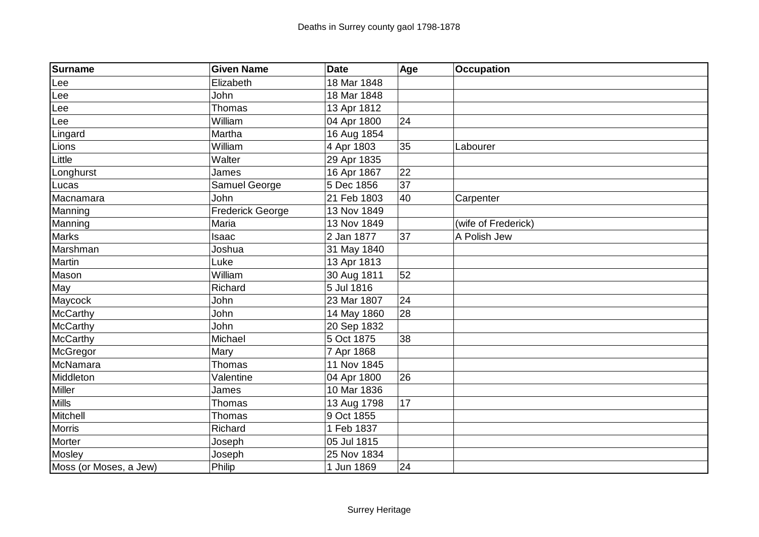| Surname                | <b>Given Name</b>       | <b>Date</b> | Age | <b>Occupation</b>   |
|------------------------|-------------------------|-------------|-----|---------------------|
| Lee                    | Elizabeth               | 18 Mar 1848 |     |                     |
| Lee                    | John                    | 18 Mar 1848 |     |                     |
| Lee                    | Thomas                  | 13 Apr 1812 |     |                     |
| Lee                    | William                 | 04 Apr 1800 | 24  |                     |
| Lingard                | Martha                  | 16 Aug 1854 |     |                     |
| Lions                  | William                 | 4 Apr 1803  | 35  | Labourer            |
| Little                 | Walter                  | 29 Apr 1835 |     |                     |
| Longhurst              | James                   | 16 Apr 1867 | 22  |                     |
| Lucas                  | Samuel George           | 5 Dec 1856  | 37  |                     |
| Macnamara              | John                    | 21 Feb 1803 | 40  | Carpenter           |
| Manning                | <b>Frederick George</b> | 13 Nov 1849 |     |                     |
| Manning                | Maria                   | 13 Nov 1849 |     | (wife of Frederick) |
| Marks                  | Isaac                   | 2 Jan 1877  | 37  | A Polish Jew        |
| Marshman               | Joshua                  | 31 May 1840 |     |                     |
| Martin                 | Luke                    | 13 Apr 1813 |     |                     |
| Mason                  | William                 | 30 Aug 1811 | 52  |                     |
| May                    | Richard                 | 5 Jul 1816  |     |                     |
| Maycock                | John                    | 23 Mar 1807 | 24  |                     |
| McCarthy               | John                    | 14 May 1860 | 28  |                     |
| McCarthy               | John                    | 20 Sep 1832 |     |                     |
| McCarthy               | Michael                 | 5 Oct 1875  | 38  |                     |
| McGregor               | Mary                    | 7 Apr 1868  |     |                     |
| McNamara               | <b>Thomas</b>           | 11 Nov 1845 |     |                     |
| Middleton              | Valentine               | 04 Apr 1800 | 26  |                     |
| Miller                 | James                   | 10 Mar 1836 |     |                     |
| Mills                  | <b>Thomas</b>           | 13 Aug 1798 | 17  |                     |
| Mitchell               | <b>Thomas</b>           | 9 Oct 1855  |     |                     |
| Morris                 | Richard                 | 1 Feb 1837  |     |                     |
| Morter                 | Joseph                  | 05 Jul 1815 |     |                     |
| Mosley                 | Joseph                  | 25 Nov 1834 |     |                     |
| Moss (or Moses, a Jew) | Philip                  | 1 Jun 1869  | 24  |                     |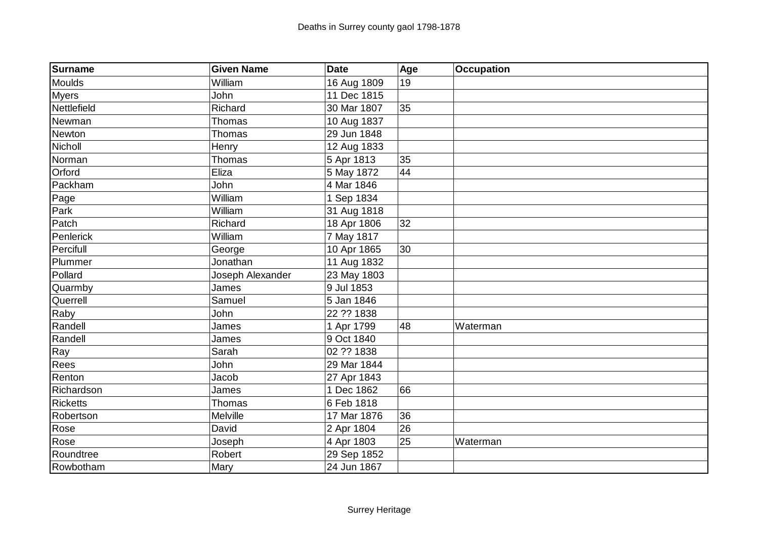| Surname         | <b>Given Name</b> | <b>Date</b> | Age | <b>Occupation</b> |
|-----------------|-------------------|-------------|-----|-------------------|
| Moulds          | William           | 16 Aug 1809 | 19  |                   |
| <b>Myers</b>    | John              | 11 Dec 1815 |     |                   |
| Nettlefield     | Richard           | 30 Mar 1807 | 35  |                   |
| Newman          | Thomas            | 10 Aug 1837 |     |                   |
| Newton          | Thomas            | 29 Jun 1848 |     |                   |
| Nicholl         | Henry             | 12 Aug 1833 |     |                   |
| Norman          | Thomas            | 5 Apr 1813  | 35  |                   |
| Orford          | Eliza             | 5 May 1872  | 44  |                   |
| Packham         | John              | 4 Mar 1846  |     |                   |
| Page            | William           | 1 Sep 1834  |     |                   |
| Park            | William           | 31 Aug 1818 |     |                   |
| Patch           | Richard           | 18 Apr 1806 | 32  |                   |
| Penlerick       | William           | 7 May 1817  |     |                   |
| Percifull       | George            | 10 Apr 1865 | 30  |                   |
| Plummer         | Jonathan          | 11 Aug 1832 |     |                   |
| Pollard         | Joseph Alexander  | 23 May 1803 |     |                   |
| Quarmby         | James             | 9 Jul 1853  |     |                   |
| Querrell        | Samuel            | 5 Jan 1846  |     |                   |
| Raby            | John              | 22 ?? 1838  |     |                   |
| Randell         | James             | 1 Apr 1799  | 48  | Waterman          |
| Randell         | James             | 9 Oct 1840  |     |                   |
| Ray             | Sarah             | 02 ?? 1838  |     |                   |
| Rees            | John              | 29 Mar 1844 |     |                   |
| Renton          | Jacob             | 27 Apr 1843 |     |                   |
| Richardson      | James             | 1 Dec 1862  | 66  |                   |
| <b>Ricketts</b> | Thomas            | 6 Feb 1818  |     |                   |
| Robertson       | Melville          | 17 Mar 1876 | 36  |                   |
| Rose            | David             | 2 Apr 1804  | 26  |                   |
| Rose            | Joseph            | 4 Apr 1803  | 25  | Waterman          |
| Roundtree       | Robert            | 29 Sep 1852 |     |                   |
| Rowbotham       | Mary              | 24 Jun 1867 |     |                   |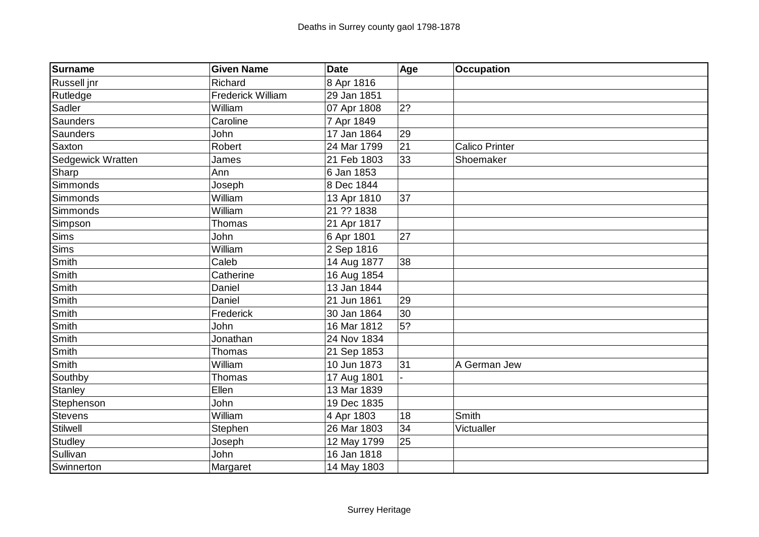| Surname           | <b>Given Name</b> | <b>Date</b> | Age | <b>Occupation</b>     |
|-------------------|-------------------|-------------|-----|-----------------------|
| Russell jnr       | Richard           | 8 Apr 1816  |     |                       |
| Rutledge          | Frederick William | 29 Jan 1851 |     |                       |
| Sadler            | William           | 07 Apr 1808 | 2?  |                       |
| Saunders          | Caroline          | 7 Apr 1849  |     |                       |
| Saunders          | John              | 17 Jan 1864 | 29  |                       |
| Saxton            | Robert            | 24 Mar 1799 | 21  | <b>Calico Printer</b> |
| Sedgewick Wratten | James             | 21 Feb 1803 | 33  | Shoemaker             |
| Sharp             | Ann               | 6 Jan 1853  |     |                       |
| Simmonds          | Joseph            | 8 Dec 1844  |     |                       |
| Simmonds          | William           | 13 Apr 1810 | 37  |                       |
| Simmonds          | William           | 21 ?? 1838  |     |                       |
| Simpson           | Thomas            | 21 Apr 1817 |     |                       |
| <b>Sims</b>       | John              | 6 Apr 1801  | 27  |                       |
| <b>Sims</b>       | William           | 2 Sep 1816  |     |                       |
| Smith             | Caleb             | 14 Aug 1877 | 38  |                       |
| Smith             | Catherine         | 16 Aug 1854 |     |                       |
| Smith             | Daniel            | 13 Jan 1844 |     |                       |
| Smith             | Daniel            | 21 Jun 1861 | 29  |                       |
| Smith             | Frederick         | 30 Jan 1864 | 30  |                       |
| Smith             | John              | 16 Mar 1812 | 5?  |                       |
| Smith             | Jonathan          | 24 Nov 1834 |     |                       |
| Smith             | Thomas            | 21 Sep 1853 |     |                       |
| Smith             | William           | 10 Jun 1873 | 31  | A German Jew          |
| Southby           | Thomas            | 17 Aug 1801 |     |                       |
| Stanley           | Ellen             | 13 Mar 1839 |     |                       |
| Stephenson        | John              | 19 Dec 1835 |     |                       |
| <b>Stevens</b>    | William           | 4 Apr 1803  | 18  | Smith                 |
| Stilwell          | Stephen           | 26 Mar 1803 | 34  | Victualler            |
| Studley           | Joseph            | 12 May 1799 | 25  |                       |
| Sullivan          | John              | 16 Jan 1818 |     |                       |
| Swinnerton        | Margaret          | 14 May 1803 |     |                       |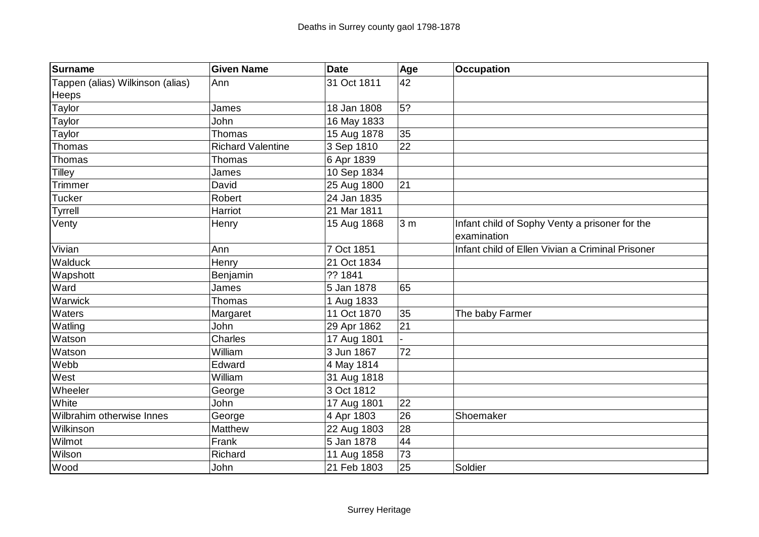| <b>Surname</b>                   | <b>Given Name</b>        | <b>Date</b> | Age            | <b>Occupation</b>                                |
|----------------------------------|--------------------------|-------------|----------------|--------------------------------------------------|
| Tappen (alias) Wilkinson (alias) | Ann                      | 31 Oct 1811 | 42             |                                                  |
| <b>Heeps</b>                     |                          |             |                |                                                  |
| Taylor                           | James                    | 18 Jan 1808 | 5?             |                                                  |
| Taylor                           | John                     | 16 May 1833 |                |                                                  |
| Taylor                           | Thomas                   | 15 Aug 1878 | 35             |                                                  |
| Thomas                           | <b>Richard Valentine</b> | 3 Sep 1810  | 22             |                                                  |
| Thomas                           | Thomas                   | 6 Apr 1839  |                |                                                  |
| <b>Tilley</b>                    | James                    | 10 Sep 1834 |                |                                                  |
| <b>Trimmer</b>                   | David                    | 25 Aug 1800 | 21             |                                                  |
| <b>Tucker</b>                    | Robert                   | 24 Jan 1835 |                |                                                  |
| <b>Tyrrell</b>                   | Harriot                  | 21 Mar 1811 |                |                                                  |
| Venty                            | Henry                    | 15 Aug 1868 | 3 <sub>m</sub> | Infant child of Sophy Venty a prisoner for the   |
|                                  |                          |             |                | examination                                      |
| Vivian                           | Ann                      | 7 Oct 1851  |                | Infant child of Ellen Vivian a Criminal Prisoner |
| Walduck                          | Henry                    | 21 Oct 1834 |                |                                                  |
| Wapshott                         | Benjamin                 | ?? 1841     |                |                                                  |
| Ward                             | James                    | 5 Jan 1878  | 65             |                                                  |
| Warwick                          | <b>Thomas</b>            | 1 Aug 1833  |                |                                                  |
| Waters                           | Margaret                 | 11 Oct 1870 | 35             | The baby Farmer                                  |
| Watling                          | John                     | 29 Apr 1862 | 21             |                                                  |
| Watson                           | Charles                  | 17 Aug 1801 |                |                                                  |
| Watson                           | William                  | 3 Jun 1867  | 72             |                                                  |
| Webb                             | Edward                   | 4 May 1814  |                |                                                  |
| West                             | William                  | 31 Aug 1818 |                |                                                  |
| Wheeler                          | George                   | 3 Oct 1812  |                |                                                  |
| White                            | John                     | 17 Aug 1801 | 22             |                                                  |
| Wilbrahim otherwise Innes        | George                   | 4 Apr 1803  | 26             | Shoemaker                                        |
| Wilkinson                        | Matthew                  | 22 Aug 1803 | 28             |                                                  |
| Wilmot                           | Frank                    | 5 Jan 1878  | 44             |                                                  |
| Wilson                           | Richard                  | 11 Aug 1858 | 73             |                                                  |
| <b>Wood</b>                      | John                     | 21 Feb 1803 | 25             | Soldier                                          |